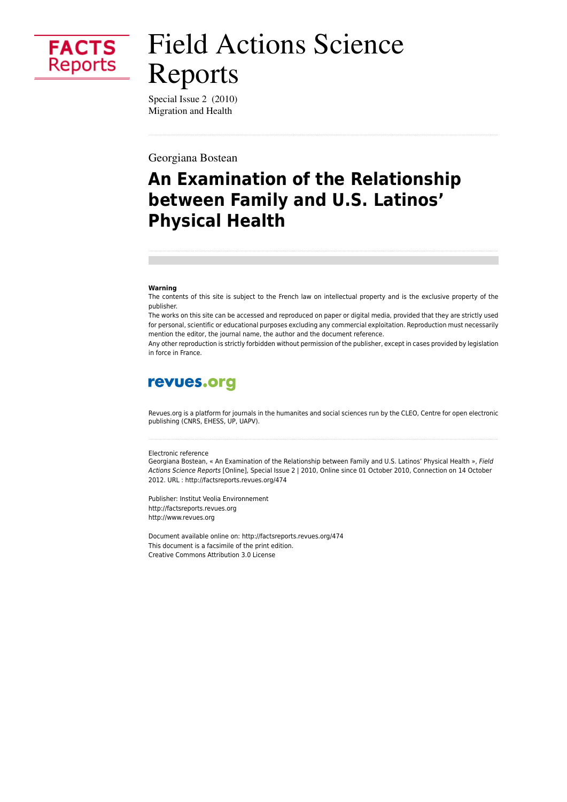

# **Field Actions Science** Reports

Special Issue 2 (2010) Migration and Health

Georgiana Bostean

# An Examination of the Relationship between Family and U.S. Latinos' **Physical Health**

#### Warning

The contents of this site is subject to the French law on intellectual property and is the exclusive property of the publisher.

The works on this site can be accessed and reproduced on paper or digital media, provided that they are strictly used for personal, scientific or educational purposes excluding any commercial exploitation. Reproduction must necessarily mention the editor, the journal name, the author and the document reference.

Any other reproduction is strictly forbidden without permission of the publisher, except in cases provided by legislation in force in France.

### revues.org

Revues.org is a platform for journals in the humanites and social sciences run by the CLEO, Centre for open electronic publishing (CNRS, EHESS, UP, UAPV).

#### Flectronic reference

Georgiana Bostean, « An Examination of the Relationship between Family and U.S. Latinos' Physical Health », Field Actions Science Reports [Online], Special Issue 2 | 2010, Online since 01 October 2010, Connection on 14 October 2012. URL : http://factsreports.revues.org/474

Publisher: Institut Veolia Environnement http://factsreports.revues.org http://www.revues.org

Document available online on: http://factsreports.revues.org/474 This document is a facsimile of the print edition. Creative Commons Attribution 3.0 License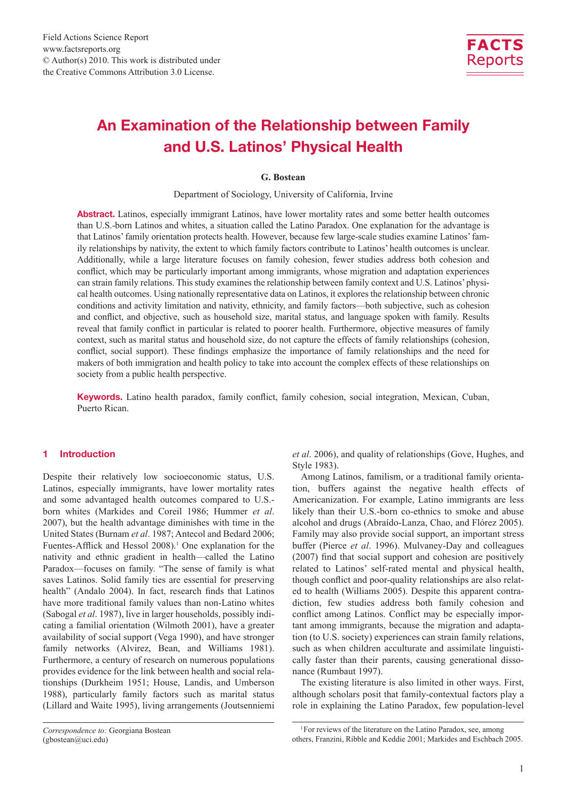

## An Examination of the Relationship between Family and U.S. Latinos' Physical Health

#### **G. Bostean**

Department of Sociology, University of California, Irvine

Abstract. Latinos, especially immigrant Latinos, have lower mortality rates and some better health outcomes than U.S.-born Latinos and whites, a situation called the Latino Paradox. One explanation for the advantage is that Latinos' family orientation protects health. However, because few large-scale studies examine Latinos' family relationships by nativity, the extent to which family factors contribute to Latinos' health outcomes is unclear. Additionally, while a large literature focuses on family cohesion, fewer studies address both cohesion and conflict, which may be particularly important among immigrants, whose migration and adaptation experiences can strain family relations. This study examines the relationship between family context and U.S. Latinos' physical health outcomes. Using nationally representative data on Latinos, it explores the relationship between chronic conditions and activity limitation and nativity, ethnicity, and family factors—both subjective, such as cohesion and conflict, and objective, such as household size, marital status, and language spoken with family. Results reveal that family conflict in particular is related to poorer health. Furthermore, objective measures of family context, such as marital status and household size, do not capture the effects of family relationships (cohesion, conflict, social support). These findings emphasize the importance of family relationships and the need for makers of both immigration and health policy to take into account the complex effects of these relationships on society from a public health perspective.

Keywords. Latino health paradox, family conflict, family cohesion, social integration, Mexican, Cuban, Puerto Rican.

#### 1 Introduction

Despite their relatively low socioeconomic status, U.S. Latinos, especially immigrants, have lower mortality rates and some advantaged health outcomes compared to U.S. born whites (Markides and Coreil 1986; Hummer *et al*. 2007), but the health advantage diminishes with time in the United States (Burnam *et al*. 1987; Antecol and Bedard 2006; Fuentes-Afflick and Hessol 2008).<sup>1</sup> One explanation for the nativity and ethnic gradient in health—called the Latino Paradox—focuses on family. "The sense of family is what saves Latinos. Solid family ties are essential for preserving health" (Andalo 2004). In fact, research finds that Latinos have more traditional family values than non-Latino whites (Sabogal *et al*. 1987), live in larger households, possibly indicating a familial orientation (Wilmoth 2001), have a greater availability of social support (Vega 1990), and have stronger family networks (Alvirez, Bean, and Williams 1981). Furthermore, a century of research on numerous populations provides evidence for the link between health and social relationships (Durkheim 1951; House, Landis, and Umberson 1988), particularly family factors such as marital status (Lillard and Waite 1995), living arrangements (Joutsenniemi

*et al*. 2006), and quality of relationships (Gove, Hughes, and Style 1983).

Among Latinos, familism, or a traditional family orientation, buffers against the negative health effects of Americanization. For example, Latino immigrants are less likely than their U.S.-born co-ethnics to smoke and abuse alcohol and drugs (Abraído-Lanza, Chao, and Flórez 2005). Family may also provide social support, an important stress buffer (Pierce *et al*. 1996). Mulvaney-Day and colleagues (2007) find that social support and cohesion are positively related to Latinos' self-rated mental and physical health, though conflict and poor-quality relationships are also related to health (Williams 2005). Despite this apparent contradiction, few studies address both family cohesion and conflict among Latinos. Conflict may be especially important among immigrants, because the migration and adaptation (to U.S. society) experiences can strain family relations, such as when children acculturate and assimilate linguistically faster than their parents, causing generational dissonance (Rumbaut 1997).

The existing literature is also limited in other ways. First, although scholars posit that family-contextual factors play a role in explaining the Latino Paradox, few population-level

*Correspondence to:* Georgiana Bostean (gbostean@uci.edu)

<sup>1</sup>For reviews of the literature on the Latino Paradox, see, among others, Franzini, Ribble and Keddie 2001; Markides and Eschbach 2005.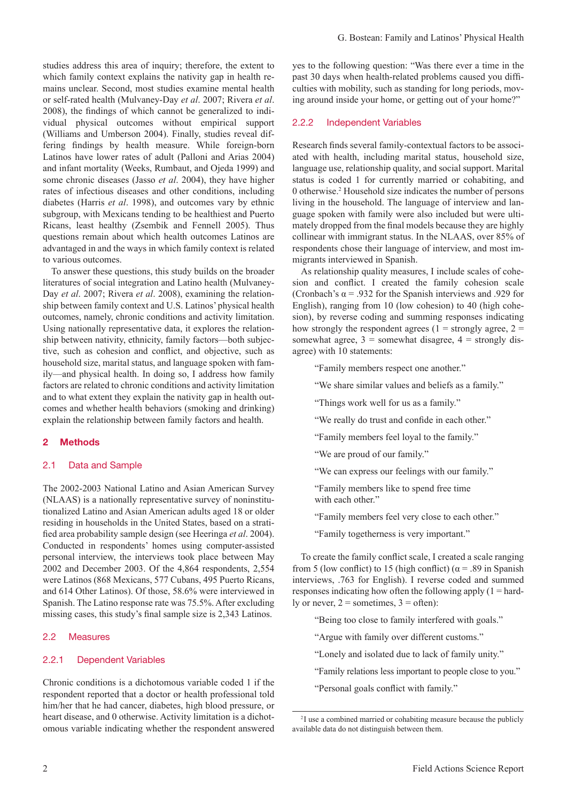studies address this area of inquiry; therefore, the extent to which family context explains the nativity gap in health remains unclear. Second, most studies examine mental health or self-rated health (Mulvaney-Day *et al*. 2007; Rivera *et al*. 2008), the findings of which cannot be generalized to individual physical outcomes without empirical support (Williams and Umberson 2004). Finally, studies reveal differing findings by health measure. While foreign-born Latinos have lower rates of adult (Palloni and Arias 2004) and infant mortality (Weeks, Rumbaut, and Ojeda 1999) and some chronic diseases (Jasso *et al*. 2004), they have higher rates of infectious diseases and other conditions, including diabetes (Harris *et al*. 1998), and outcomes vary by ethnic subgroup, with Mexicans tending to be healthiest and Puerto Ricans, least healthy (Zsembik and Fennell 2005). Thus questions remain about which health outcomes Latinos are advantaged in and the ways in which family context is related to various outcomes.

To answer these questions, this study builds on the broader literatures of social integration and Latino health (Mulvaney-Day *et al*. 2007; Rivera *et al*. 2008), examining the relationship between family context and U.S. Latinos' physical health outcomes, namely, chronic conditions and activity limitation. Using nationally representative data, it explores the relationship between nativity, ethnicity, family factors—both subjective, such as cohesion and conflict, and objective, such as household size, marital status, and language spoken with family—and physical health. In doing so, I address how family factors are related to chronic conditions and activity limitation and to what extent they explain the nativity gap in health outcomes and whether health behaviors (smoking and drinking) explain the relationship between family factors and health.

#### 2 Methods

#### 2.1 Data and Sample

The 2002-2003 National Latino and Asian American Survey (NLAAS) is a nationally representative survey of noninstitutionalized Latino and Asian American adults aged 18 or older residing in households in the United States, based on a stratified area probability sample design (see Heeringa *et al*. 2004). Conducted in respondents' homes using computer-assisted personal interview, the interviews took place between May 2002 and December 2003. Of the 4,864 respondents, 2,554 were Latinos (868 Mexicans, 577 Cubans, 495 Puerto Ricans, and 614 Other Latinos). Of those, 58.6% were interviewed in Spanish. The Latino response rate was 75.5%. After excluding missing cases, this study's final sample size is 2,343 Latinos.

#### 2.2 Measures

#### 2.2.1 Dependent Variables

Chronic conditions is a dichotomous variable coded 1 if the respondent reported that a doctor or health professional told him/her that he had cancer, diabetes, high blood pressure, or heart disease, and 0 otherwise. Activity limitation is a dichotomous variable indicating whether the respondent answered yes to the following question: "Was there ever a time in the past 30 days when health-related problems caused you difficulties with mobility, such as standing for long periods, moving around inside your home, or getting out of your home?"

#### 2.2.2 Independent Variables

Research finds several family-contextual factors to be associated with health, including marital status, household size, language use, relationship quality, and social support. Marital status is coded 1 for currently married or cohabiting, and 0 otherwise.2 Household size indicates the number of persons living in the household. The language of interview and language spoken with family were also included but were ultimately dropped from the final models because they are highly collinear with immigrant status. In the NLAAS, over 85% of respondents chose their language of interview, and most immigrants interviewed in Spanish.

As relationship quality measures, I include scales of cohesion and conflict. I created the family cohesion scale (Cronbach's  $\alpha$  = .932 for the Spanish interviews and .929 for English), ranging from 10 (low cohesion) to 40 (high cohesion), by reverse coding and summing responses indicating how strongly the respondent agrees ( $1 =$  strongly agree,  $2 =$ somewhat agree,  $3 =$  somewhat disagree,  $4 =$  strongly disagree) with 10 statements:

"Family members respect one another."

- "We share similar values and beliefs as a family."
- "Things work well for us as a family."
- "We really do trust and confide in each other."
- "Family members feel loyal to the family."
- "We are proud of our family."
- "We can express our feelings with our family."
- "Family members like to spend free time with each other."
- "Family members feel very close to each other."
- "Family togetherness is very important."

To create the family conflict scale, I created a scale ranging from 5 (low conflict) to 15 (high conflict) ( $\alpha$  = .89 in Spanish interviews, .763 for English). I reverse coded and summed responses indicating how often the following apply  $(1 = \text{hard} - \text{hard})$ ly or never,  $2 =$  sometimes,  $3 =$  often):

"Being too close to family interfered with goals."

"Argue with family over different customs."

"Lonely and isolated due to lack of family unity."

- "Family relations less important to people close to you."
- "Personal goals conflict with family."

<sup>&</sup>lt;sup>2</sup>I use a combined married or cohabiting measure because the publicly available data do not distinguish between them.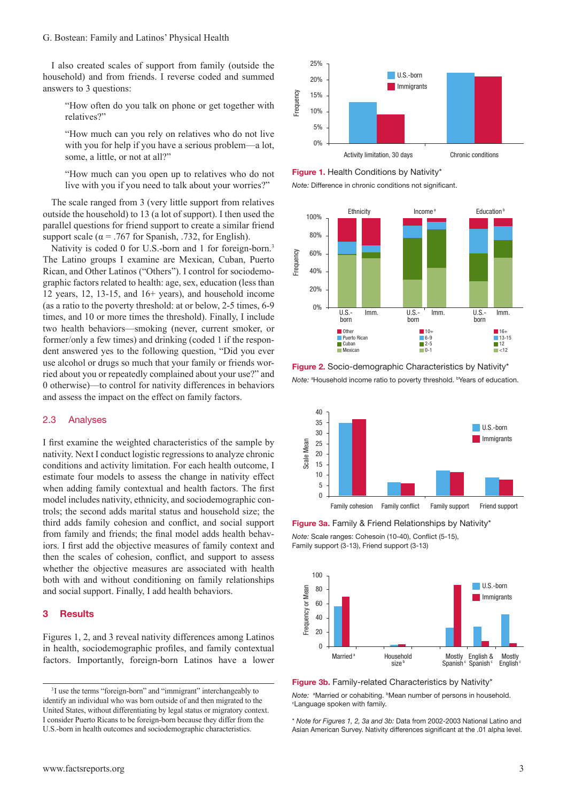I also created scales of support from family (outside the household) and from friends. I reverse coded and summed answers to 3 questions:

"How often do you talk on phone or get together with relatives?"

"How much can you rely on relatives who do not live with you for help if you have a serious problem—a lot, some, a little, or not at all?"

"How much can you open up to relatives who do not live with you if you need to talk about your worries?"

The scale ranged from 3 (very little support from relatives outside the household) to 13 (a lot of support). I then used the parallel questions for friend support to create a similar friend support scale ( $\alpha$  = .767 for Spanish, .732, for English).

Nativity is coded 0 for U.S.-born and 1 for foreign-born.<sup>3</sup> The Latino groups I examine are Mexican, Cuban, Puerto Rican, and Other Latinos ("Others"). I control for sociodemographic factors related to health: age, sex, education (less than 12 years, 12, 13-15, and 16+ years), and household income (as a ratio to the poverty threshold: at or below, 2-5 times, 6-9 times, and 10 or more times the threshold). Finally, I include two health behaviors—smoking (never, current smoker, or former/only a few times) and drinking (coded 1 if the respondent answered yes to the following question, "Did you ever use alcohol or drugs so much that your family or friends worried about you or repeatedly complained about your use?" and 0 otherwise)—to control for nativity differences in behaviors and assess the impact on the effect on family factors.

#### 2.3 Analyses

I first examine the weighted characteristics of the sample by nativity. Next I conduct logistic regressions to analyze chronic conditions and activity limitation. For each health outcome, I estimate four models to assess the change in nativity effect when adding family contextual and health factors. The first model includes nativity, ethnicity, and sociodemographic controls; the second adds marital status and household size; the third adds family cohesion and conflict, and social support from family and friends; the final model adds health behaviors. I first add the objective measures of family context and then the scales of cohesion, conflict, and support to assess whether the objective measures are associated with health both with and without conditioning on family relationships and social support. Finally, I add health behaviors.

#### 3 Results

Figures 1, 2, and 3 reveal nativity differences among Latinos in health, sociodemographic profiles, and family contextual factors. Importantly, foreign-born Latinos have a lower



Figure 1. Health Conditions by Nativity\*

*Note:* Difference in chronic conditions not significant.



Figure 2. Socio-demographic Characteristics by Nativity\* Note: <sup>a</sup> Household income ratio to poverty threshold. <sup>b</sup> Years of education.



Figure 3a. Family & Friend Relationships by Nativity\*

*Note:* Scale ranges: Cohesoin (10-40), Conflict (5-15), Family support (3-13), Friend support (3-13) 100



Figure 3b. Family-related Characteristics by Nativity\*

*Note:* <sup>a</sup>Married or cohabiting. <sup>b</sup>Mean number of persons in household.<br><sup>cl</sup> anguage spoken with family Language spoken with family.

\* *Note for Figures 1, 2, 3a and 3b:* Data from 2002-2003 National Latino and Asian American Survey. Nativity differences significant at the .01 alpha level.

<sup>&</sup>lt;sup>3</sup>I use the terms "foreign-born" and "immigrant" interchangeably to identify an individual who was born outside of and then migrated to the United States, without differentiating by legal status or migratory context. I consider Puerto Ricans to be foreign-born because they differ from the U.S.-born in health outcomes and sociodemographic characteristics.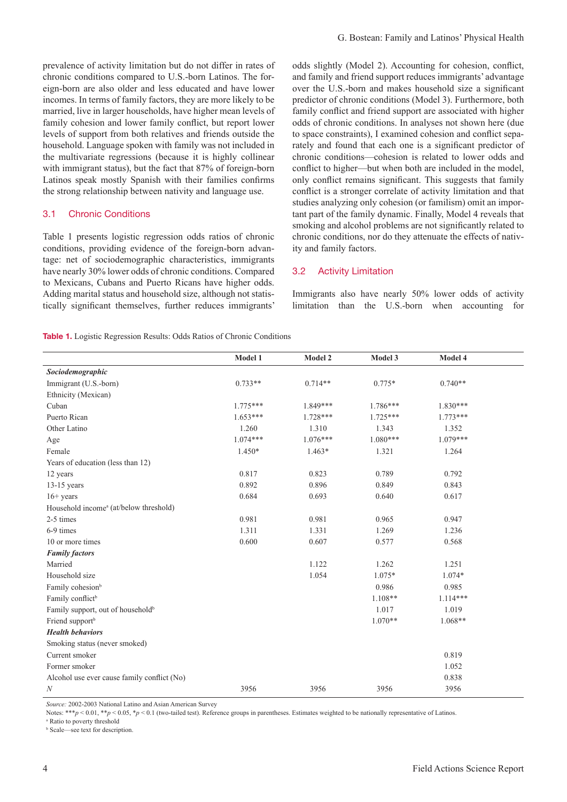prevalence of activity limitation but do not differ in rates of chronic conditions compared to U.S.-born Latinos. The foreign-born are also older and less educated and have lower incomes. In terms of family factors, they are more likely to be married, live in larger households, have higher mean levels of family cohesion and lower family conflict, but report lower levels of support from both relatives and friends outside the household. Language spoken with family was not included in the multivariate regressions (because it is highly collinear with immigrant status), but the fact that 87% of foreign-born Latinos speak mostly Spanish with their families confirms the strong relationship between nativity and language use.

#### 3.1 Chronic Conditions

Table 1 presents logistic regression odds ratios of chronic conditions, providing evidence of the foreign-born advantage: net of sociodemographic characteristics, immigrants have nearly 30% lower odds of chronic conditions. Compared to Mexicans, Cubans and Puerto Ricans have higher odds. Adding marital status and household size, although not statistically significant themselves, further reduces immigrants'

odds slightly (Model 2). Accounting for cohesion, conflict, and family and friend support reduces immigrants' advantage over the U.S.-born and makes household size a significant predictor of chronic conditions (Model 3). Furthermore, both family conflict and friend support are associated with higher odds of chronic conditions. In analyses not shown here (due to space constraints), I examined cohesion and conflict separately and found that each one is a significant predictor of chronic conditions—cohesion is related to lower odds and conflict to higher—but when both are included in the model, only conflict remains significant. This suggests that family conflict is a stronger correlate of activity limitation and that studies analyzing only cohesion (or familism) omit an important part of the family dynamic. Finally, Model 4 reveals that smoking and alcohol problems are not significantly related to chronic conditions, nor do they attenuate the effects of nativity and family factors.

#### 3.2 Activity Limitation

Immigrants also have nearly 50% lower odds of activity limitation than the U.S.-born when accounting for

Table 1. Logistic Regression Results: Odds Ratios of Chronic Conditions

|                                                    | Model 1    | Model 2    | Model 3    | Model 4    |
|----------------------------------------------------|------------|------------|------------|------------|
| Sociodemographic                                   |            |            |            |            |
| Immigrant (U.S.-born)                              | $0.733**$  | $0.714**$  | $0.775*$   | $0.740**$  |
| Ethnicity (Mexican)                                |            |            |            |            |
| Cuban                                              | $1.775***$ | 1.849***   | $1.786***$ | $1.830***$ |
| Puerto Rican                                       | $1.653***$ | $1.728***$ | $1.725***$ | $1.773***$ |
| Other Latino                                       | 1.260      | 1.310      | 1.343      | 1.352      |
| Age                                                | $1.074***$ | $1.076***$ | $1.080***$ | $1.079***$ |
| Female                                             | $1.450*$   | $1.463*$   | 1.321      | 1.264      |
| Years of education (less than 12)                  |            |            |            |            |
| 12 years                                           | 0.817      | 0.823      | 0.789      | 0.792      |
| $13-15$ years                                      | 0.892      | 0.896      | 0.849      | 0.843      |
| $16+$ years                                        | 0.684      | 0.693      | 0.640      | 0.617      |
| Household income <sup>a</sup> (at/below threshold) |            |            |            |            |
| 2-5 times                                          | 0.981      | 0.981      | 0.965      | 0.947      |
| 6-9 times                                          | 1.311      | 1.331      | 1.269      | 1.236      |
| 10 or more times                                   | 0.600      | 0.607      | 0.577      | 0.568      |
| <b>Family factors</b>                              |            |            |            |            |
| Married                                            |            | 1.122      | 1.262      | 1.251      |
| Household size                                     |            | 1.054      | $1.075*$   | $1.074*$   |
| Family cohesion <sup>b</sup>                       |            |            | 0.986      | 0.985      |
| Family conflict <sup>b</sup>                       |            |            | $1.108**$  | $1.114***$ |
| Family support, out of household <sup>b</sup>      |            |            | 1.017      | 1.019      |
| Friend support <sup>b</sup>                        |            |            | $1.070**$  | $1.068**$  |
| <b>Health behaviors</b>                            |            |            |            |            |
| Smoking status (never smoked)                      |            |            |            |            |
| Current smoker                                     |            |            |            | 0.819      |
| Former smoker                                      |            |            |            | 1.052      |
| Alcohol use ever cause family conflict (No)        |            |            |            | 0.838      |
| N                                                  | 3956       | 3956       | 3956       | 3956       |

 *Source:* 2002-2003 National Latino and Asian American Survey

Notes: \*\*\**p* < 0.01, \*\**p* < 0.05, \**p* < 0.1 (two-tailed test). Reference groups in parentheses. Estimates weighted to be nationally representative of Latinos.

a Ratio to poverty threshold

b Scale—see text for description.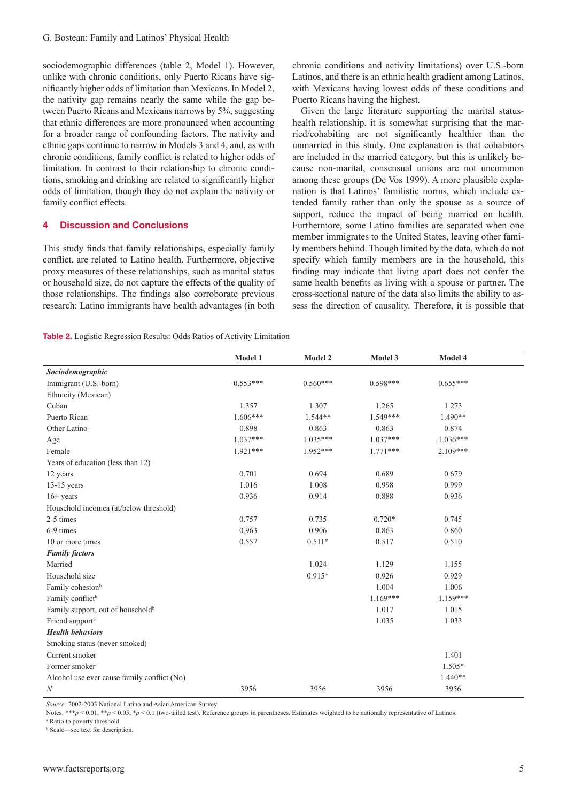sociodemographic differences (table 2, Model 1). However, unlike with chronic conditions, only Puerto Ricans have significantly higher odds of limitation than Mexicans. In Model 2, the nativity gap remains nearly the same while the gap between Puerto Ricans and Mexicans narrows by 5%, suggesting that ethnic differences are more pronounced when accounting for a broader range of confounding factors. The nativity and ethnic gaps continue to narrow in Models 3 and 4, and, as with chronic conditions, family conflict is related to higher odds of limitation. In contrast to their relationship to chronic conditions, smoking and drinking are related to significantly higher odds of limitation, though they do not explain the nativity or family conflict effects.

#### 4 Discussion and Conclusions

This study finds that family relationships, especially family conflict, are related to Latino health. Furthermore, objective proxy measures of these relationships, such as marital status or household size, do not capture the effects of the quality of those relationships. The findings also corroborate previous research: Latino immigrants have health advantages (in both chronic conditions and activity limitations) over U.S.-born Latinos, and there is an ethnic health gradient among Latinos, with Mexicans having lowest odds of these conditions and Puerto Ricans having the highest.

Given the large literature supporting the marital statushealth relationship, it is somewhat surprising that the married/cohabiting are not significantly healthier than the unmarried in this study. One explanation is that cohabitors are included in the married category, but this is unlikely because non-marital, consensual unions are not uncommon among these groups (De Vos 1999). A more plausible explanation is that Latinos' familistic norms, which include extended family rather than only the spouse as a source of support, reduce the impact of being married on health. Furthermore, some Latino families are separated when one member immigrates to the United States, leaving other family members behind. Though limited by the data, which do not specify which family members are in the household, this finding may indicate that living apart does not confer the same health benefits as living with a spouse or partner. The cross-sectional nature of the data also limits the ability to assess the direction of causality. Therefore, it is possible that

Table 2. Logistic Regression Results: Odds Ratios of Activity Limitation

|                                               | Model 1    | Model 2    | Model 3    | Model 4    |  |
|-----------------------------------------------|------------|------------|------------|------------|--|
| Sociodemographic                              |            |            |            |            |  |
| Immigrant (U.S.-born)                         | $0.553***$ | $0.560***$ | $0.598***$ | $0.655***$ |  |
| Ethnicity (Mexican)                           |            |            |            |            |  |
| Cuban                                         | 1.357      | 1.307      | 1.265      | 1.273      |  |
| Puerto Rican                                  | $1.606***$ | 1.544**    | $1.549***$ | 1.490**    |  |
| Other Latino                                  | 0.898      | 0.863      | 0.863      | 0.874      |  |
| Age                                           | $1.037***$ | $1.035***$ | $1.037***$ | $1.036***$ |  |
| Female                                        | $1.921***$ | $1.952***$ | $1.771***$ | $2.109***$ |  |
| Years of education (less than 12)             |            |            |            |            |  |
| 12 years                                      | 0.701      | 0.694      | 0.689      | 0.679      |  |
| $13-15$ years                                 | 1.016      | 1.008      | 0.998      | 0.999      |  |
| $16+$ years                                   | 0.936      | 0.914      | 0.888      | 0.936      |  |
| Household incomea (at/below threshold)        |            |            |            |            |  |
| 2-5 times                                     | 0.757      | 0.735      | $0.720*$   | 0.745      |  |
| 6-9 times                                     | 0.963      | 0.906      | 0.863      | 0.860      |  |
| 10 or more times                              | 0.557      | $0.511*$   | 0.517      | 0.510      |  |
| <b>Family factors</b>                         |            |            |            |            |  |
| Married                                       |            | 1.024      | 1.129      | 1.155      |  |
| Household size                                |            | $0.915*$   | 0.926      | 0.929      |  |
| Family cohesion <sup>b</sup>                  |            |            | 1.004      | 1.006      |  |
| Family conflict <sup>b</sup>                  |            |            | $1.169***$ | 1.159***   |  |
| Family support, out of household <sup>b</sup> |            |            | 1.017      | 1.015      |  |
| Friend support <sup>b</sup>                   |            |            | 1.035      | 1.033      |  |
| <b>Health behaviors</b>                       |            |            |            |            |  |
| Smoking status (never smoked)                 |            |            |            |            |  |
| Current smoker                                |            |            |            | 1.401      |  |
| Former smoker                                 |            |            |            | 1.505*     |  |
| Alcohol use ever cause family conflict (No)   |            |            |            | $1.440**$  |  |
| $\boldsymbol{N}$                              | 3956       | 3956       | 3956       | 3956       |  |

 *Source:* 2002-2003 National Latino and Asian American Survey

Notes: \*\*\**p* < 0.01, \*\**p* < 0.05, \**p* < 0.1 (two-tailed test). Reference groups in parentheses. Estimates weighted to be nationally representative of Latinos.

a Ratio to poverty threshold

b Scale—see text for description.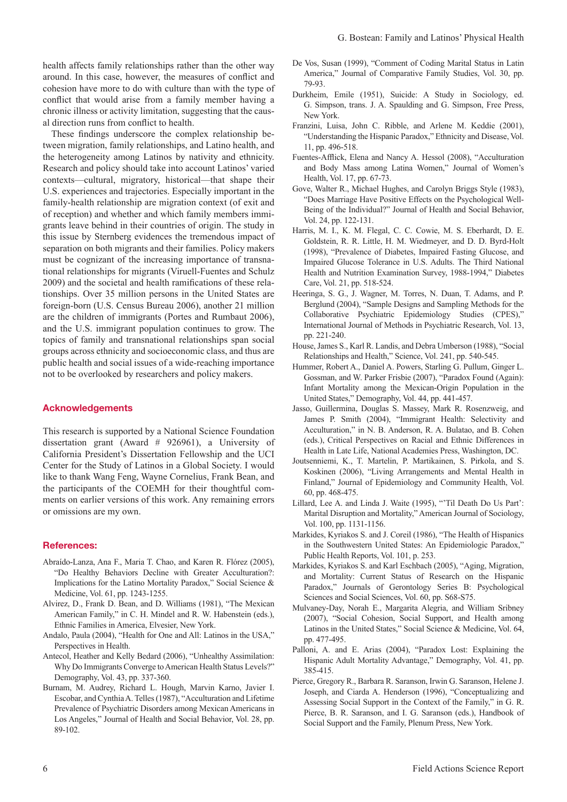health affects family relationships rather than the other way around. In this case, however, the measures of conflict and cohesion have more to do with culture than with the type of conflict that would arise from a family member having a chronic illness or activity limitation, suggesting that the causal direction runs from conflict to health.

These findings underscore the complex relationship between migration, family relationships, and Latino health, and the heterogeneity among Latinos by nativity and ethnicity. Research and policy should take into account Latinos' varied contexts—cultural, migratory, historical—that shape their U.S. experiences and trajectories. Especially important in the family-health relationship are migration context (of exit and of reception) and whether and which family members immigrants leave behind in their countries of origin. The study in this issue by Sternberg evidences the tremendous impact of separation on both migrants and their families. Policy makers must be cognizant of the increasing importance of transnational relationships for migrants (Viruell-Fuentes and Schulz 2009) and the societal and health ramifications of these relationships. Over 35 million persons in the United States are foreign-born (U.S. Census Bureau 2006), another 21 million are the children of immigrants (Portes and Rumbaut 2006), and the U.S. immigrant population continues to grow. The topics of family and transnational relationships span social groups across ethnicity and socioeconomic class, and thus are public health and social issues of a wide-reaching importance not to be overlooked by researchers and policy makers.

#### Acknowledgements

This research is supported by a National Science Foundation dissertation grant (Award # 926961), a University of California President's Dissertation Fellowship and the UCI Center for the Study of Latinos in a Global Society. I would like to thank Wang Feng, Wayne Cornelius, Frank Bean, and the participants of the COEMH for their thoughtful comments on earlier versions of this work. Any remaining errors or omissions are my own.

#### References:

- Abraído-Lanza, Ana F., Maria T. Chao, and Karen R. Flórez (2005), "Do Healthy Behaviors Decline with Greater Acculturation?: Implications for the Latino Mortality Paradox," Social Science & Medicine, Vol. 61, pp. 1243-1255.
- Alvirez, D., Frank D. Bean, and D. Williams (1981), "The Mexican American Family," in C. H. Mindel and R. W. Habenstein (eds.), Ethnic Families in America, Elvesier, New York.
- Andalo, Paula (2004), "Health for One and All: Latinos in the USA," Perspectives in Health.
- Antecol, Heather and Kelly Bedard (2006), "Unhealthy Assimilation: Why Do Immigrants Converge to American Health Status Levels?" Demography, Vol. 43, pp. 337-360.
- Burnam, M. Audrey, Richard L. Hough, Marvin Karno, Javier I. Escobar, and Cynthia A. Telles (1987), "Acculturation and Lifetime Prevalence of Psychiatric Disorders among Mexican Americans in Los Angeles," Journal of Health and Social Behavior, Vol. 28, pp. 89-102.
- De Vos, Susan (1999), "Comment of Coding Marital Status in Latin America," Journal of Comparative Family Studies, Vol. 30, pp. 79-93.
- Durkheim, Emile (1951), Suicide: A Study in Sociology, ed. G. Simpson, trans. J. A. Spaulding and G. Simpson, Free Press, New York.
- Franzini, Luisa, John C. Ribble, and Arlene M. Keddie (2001), "Understanding the Hispanic Paradox," Ethnicity and Disease, Vol. 11, pp. 496-518.
- Fuentes-Afflick, Elena and Nancy A. Hessol (2008), "Acculturation and Body Mass among Latina Women," Journal of Women's Health, Vol. 17, pp. 67-73.
- Gove, Walter R., Michael Hughes, and Carolyn Briggs Style (1983), "Does Marriage Have Positive Effects on the Psychological Well-Being of the Individual?" Journal of Health and Social Behavior, Vol. 24, pp. 122-131.
- Harris, M. I., K. M. Flegal, C. C. Cowie, M. S. Eberhardt, D. E. Goldstein, R. R. Little, H. M. Wiedmeyer, and D. D. Byrd-Holt (1998), "Prevalence of Diabetes, Impaired Fasting Glucose, and Impaired Glucose Tolerance in U.S. Adults. The Third National Health and Nutrition Examination Survey, 1988-1994," Diabetes Care, Vol. 21, pp. 518-524.
- Heeringa, S. G., J. Wagner, M. Torres, N. Duan, T. Adams, and P. Berglund (2004), "Sample Designs and Sampling Methods for the Collaborative Psychiatric Epidemiology Studies (CPES)," International Journal of Methods in Psychiatric Research, Vol. 13, pp. 221-240.
- House, James S., Karl R. Landis, and Debra Umberson (1988), "Social Relationships and Health," Science, Vol. 241, pp. 540-545.
- Hummer, Robert A., Daniel A. Powers, Starling G. Pullum, Ginger L. Gossman, and W. Parker Frisbie (2007), "Paradox Found (Again): Infant Mortality among the Mexican-Origin Population in the United States," Demography, Vol. 44, pp. 441-457.
- Jasso, Guillermina, Douglas S. Massey, Mark R. Rosenzweig, and James P. Smith (2004), "Immigrant Health: Selectivity and Acculturation," in N. B. Anderson, R. A. Bulatao, and B. Cohen (eds.), Critical Perspectives on Racial and Ethnic Differences in Health in Late Life, National Academies Press, Washington, DC.
- Joutsenniemi, K., T. Martelin, P. Martikainen, S. Pirkola, and S. Koskinen (2006), "Living Arrangements and Mental Health in Finland," Journal of Epidemiology and Community Health, Vol. 60, pp. 468-475.
- Lillard, Lee A. and Linda J. Waite (1995), "'Til Death Do Us Part': Marital Disruption and Mortality," American Journal of Sociology, Vol. 100, pp. 1131-1156.
- Markides, Kyriakos S. and J. Coreil (1986), "The Health of Hispanics in the Southwestern United States: An Epidemiologic Paradox," Public Health Reports, Vol. 101, p. 253.
- Markides, Kyriakos S. and Karl Eschbach (2005), "Aging, Migration, and Mortality: Current Status of Research on the Hispanic Paradox," Journals of Gerontology Series B: Psychological Sciences and Social Sciences, Vol. 60, pp. S68-S75.
- Mulvaney-Day, Norah E., Margarita Alegria, and William Sribney (2007), "Social Cohesion, Social Support, and Health among Latinos in the United States," Social Science & Medicine, Vol. 64, pp. 477-495.
- Palloni, A. and E. Arias (2004), "Paradox Lost: Explaining the Hispanic Adult Mortality Advantage," Demography, Vol. 41, pp. 385-415.
- Pierce, Gregory R., Barbara R. Saranson, Irwin G. Saranson, Helene J. Joseph, and Ciarda A. Henderson (1996), "Conceptualizing and Assessing Social Support in the Context of the Family," in G. R. Pierce, B. R. Saranson, and I. G. Saranson (eds.), Handbook of Social Support and the Family, Plenum Press, New York.